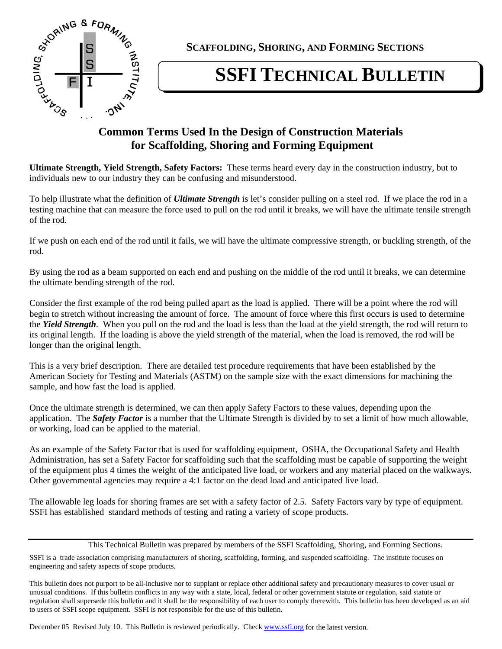

**SCAFFOLDING, SHORING, AND FORMING SECTIONS** 

## **SSFI TECHNICAL BULLETIN**

## **for Scaffolding, Shoring and Forming Equipment**

**Ultimate Strength, Yield Strength, Safety Factors:** These terms heard every day in the construction industry, but to individuals new to our industry they can be confusing and misunderstood.

To help illustrate what the definition of *Ultimate Strength* is let's consider pulling on a steel rod. If we place the rod in a testing machine that can measure the force used to pull on the rod until it breaks, we will have the ultimate tensile strength of the rod.

If we push on each end of the rod until it fails, we will have the ultimate compressive strength, or buckling strength, of the rod.

By using the rod as a beam supported on each end and pushing on the middle of the rod until it breaks, we can determine the ultimate bending strength of the rod.

Consider the first example of the rod being pulled apart as the load is applied. There will be a point where the rod will begin to stretch without increasing the amount of force. The amount of force where this first occurs is used to determine the *Yield Strength.* When you pull on the rod and the load is less than the load at the yield strength, the rod will return to its original length. If the loading is above the yield strength of the material, when the load is removed, the rod will be longer than the original length.

This is a very brief description. There are detailed test procedure requirements that have been established by the American Society for Testing and Materials (ASTM) on the sample size with the exact dimensions for machining the sample, and how fast the load is applied.

Once the ultimate strength is determined, we can then apply Safety Factors to these values, depending upon the application. The *Safety Factor* is a number that the Ultimate Strength is divided by to set a limit of how much allowable, or working, load can be applied to the material.

As an example of the Safety Factor that is used for scaffolding equipment, OSHA, the Occupational Safety and Health Administration, has set a Safety Factor for scaffolding such that the scaffolding must be capable of supporting the weight of the equipment plus 4 times the weight of the anticipated live load, or workers and any material placed on the walkways. Other governmental agencies may require a 4:1 factor on the dead load and anticipated live load.

The allowable leg loads for shoring frames are set with a safety factor of 2.5. Safety Factors vary by type of equipment. SSFI has established standard methods of testing and rating a variety of scope products.

This Technical Bulletin was prepared by members of the SSFI Scaffolding, Shoring, and Forming Sections.

SSFI is a trade association comprising manufacturers of shoring, scaffolding, forming, and suspended scaffolding. The institute focuses on engineering and safety aspects of scope products.

This bulletin does not purport to be all-inclusive nor to supplant or replace other additional safety and precautionary measures to cover usual or unusual conditions. If this bulletin conflicts in any way with a state, local, federal or other government statute or regulation, said statute or regulation shall supersede this bulletin and it shall be the responsibility of each user to comply therewith. This bulletin has been developed as an aid to users of SSFI scope equipment. SSFI is not responsible for the use of this bulletin.

December 05 Revised July 10. This Bulletin is reviewed periodically. Check www.ssfi.org for the latest version.